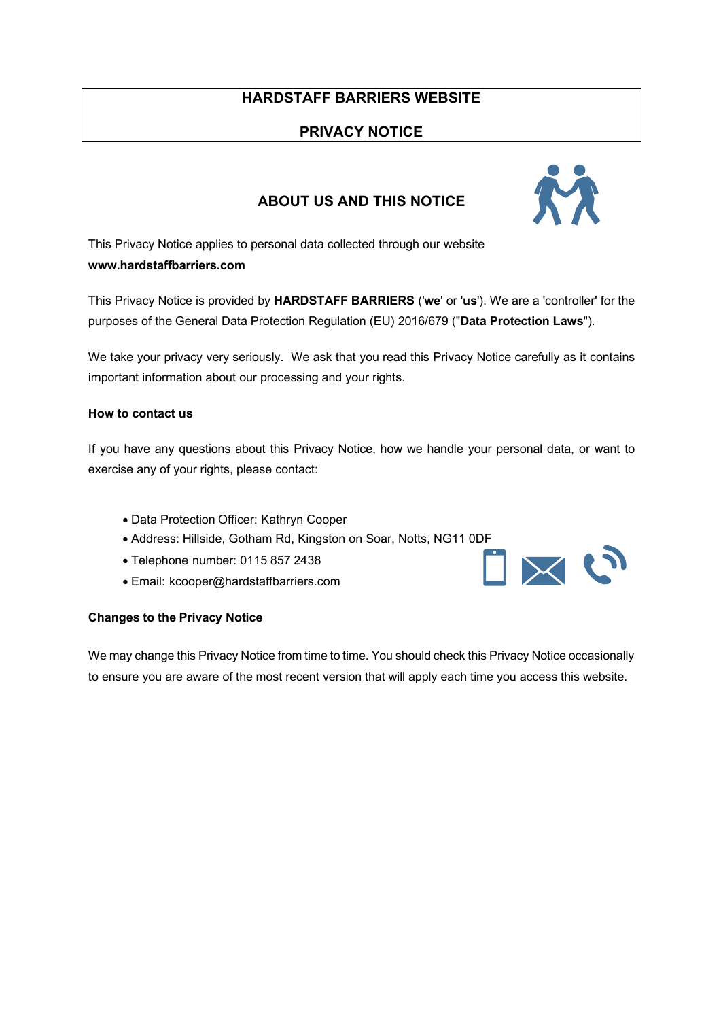## **HARDSTAFF BARRIERS WEBSITE**

## **PRIVACY NOTICE**

## **ABOUT US AND THIS NOTICE**

This Privacy Notice applies to personal data collected through our website **www.hardstaffbarriers.com**

This Privacy Notice is provided by **HARDSTAFF BARRIERS** ('**we**' or '**us**'). We are a 'controller' for the purposes of the General Data Protection Regulation (EU) 2016/679 ("**Data Protection Laws**").

We take your privacy very seriously. We ask that you read this Privacy Notice carefully as it contains important information about our processing and your rights.

#### **How to contact us**

If you have any questions about this Privacy Notice, how we handle your personal data, or want to exercise any of your rights, please contact:

- Data Protection Officer: Kathryn Cooper
- Address: Hillside, Gotham Rd, Kingston on Soar, Notts, NG11 0DF
- Telephone number: 0115 857 2438
- Email: kcooper@hardstaffbarriers.com

#### **Changes to the Privacy Notice**

We may change this Privacy Notice from time to time. You should check this Privacy Notice occasionally to ensure you are aware of the most recent version that will apply each time you access this website.



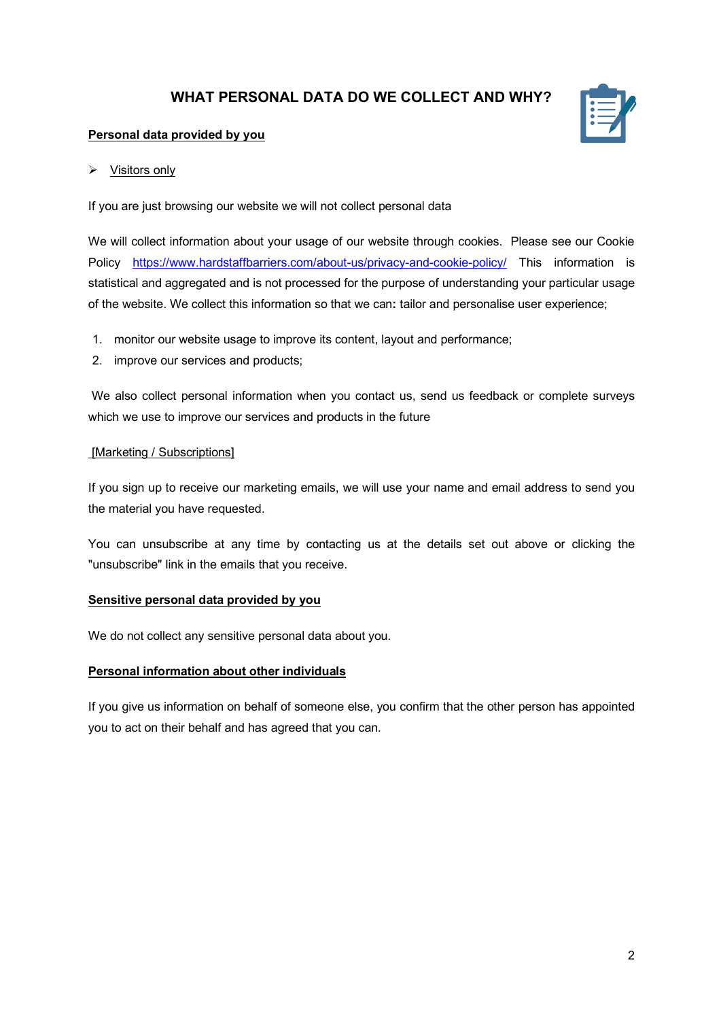## **WHAT PERSONAL DATA DO WE COLLECT AND WHY?**



#### **Personal data provided by you**

#### $\triangleright$  Visitors only

If you are just browsing our website we will not collect personal data

We will collect information about your usage of our website through cookies. Please see our Cookie Policy https://www.hardstaffbarriers.com/about-us/privacy-and-cookie-policy/ This information is statistical and aggregated and is not processed for the purpose of understanding your particular usage of the website. We collect this information so that we can**:** tailor and personalise user experience;

- 1. monitor our website usage to improve its content, layout and performance;
- 2. improve our services and products;

We also collect personal information when you contact us, send us feedback or complete surveys which we use to improve our services and products in the future

### [Marketing / Subscriptions]

If you sign up to receive our marketing emails, we will use your name and email address to send you the material you have requested.

You can unsubscribe at any time by contacting us at the details set out above or clicking the "unsubscribe" link in the emails that you receive.

#### **Sensitive personal data provided by you**

We do not collect any sensitive personal data about you.

#### **Personal information about other individuals**

If you give us information on behalf of someone else, you confirm that the other person has appointed you to act on their behalf and has agreed that you can.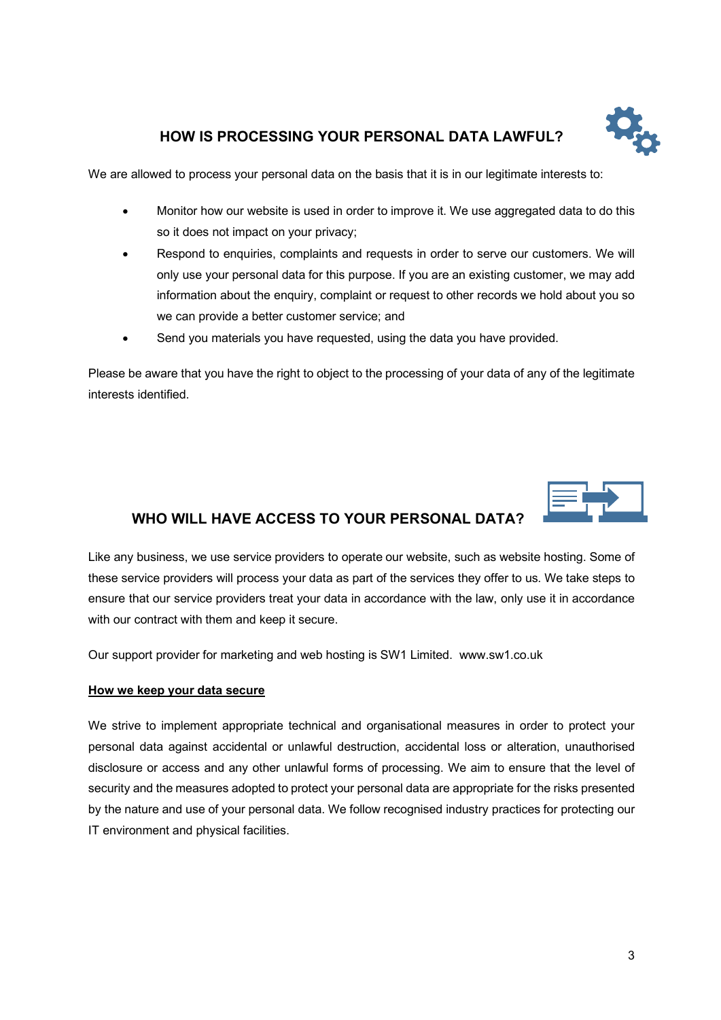

# **HOW IS PROCESSING YOUR PERSONAL DATA LAWFUL?**

We are allowed to process your personal data on the basis that it is in our legitimate interests to:

- Monitor how our website is used in order to improve it. We use aggregated data to do this so it does not impact on your privacy;
- Respond to enquiries, complaints and requests in order to serve our customers. We will only use your personal data for this purpose. If you are an existing customer, we may add information about the enquiry, complaint or request to other records we hold about you so we can provide a better customer service; and
- Send you materials you have requested, using the data you have provided.

Please be aware that you have the right to object to the processing of your data of any of the legitimate interests identified.



# **WHO WILL HAVE ACCESS TO YOUR PERSONAL DATA?**

Like any business, we use service providers to operate our website, such as website hosting. Some of these service providers will process your data as part of the services they offer to us. We take steps to ensure that our service providers treat your data in accordance with the law, only use it in accordance with our contract with them and keep it secure.

Our support provider for marketing and web hosting is SW1 Limited. www.sw1.co.uk

#### **How we keep your data secure**

We strive to implement appropriate technical and organisational measures in order to protect your personal data against accidental or unlawful destruction, accidental loss or alteration, unauthorised disclosure or access and any other unlawful forms of processing. We aim to ensure that the level of security and the measures adopted to protect your personal data are appropriate for the risks presented by the nature and use of your personal data. We follow recognised industry practices for protecting our IT environment and physical facilities.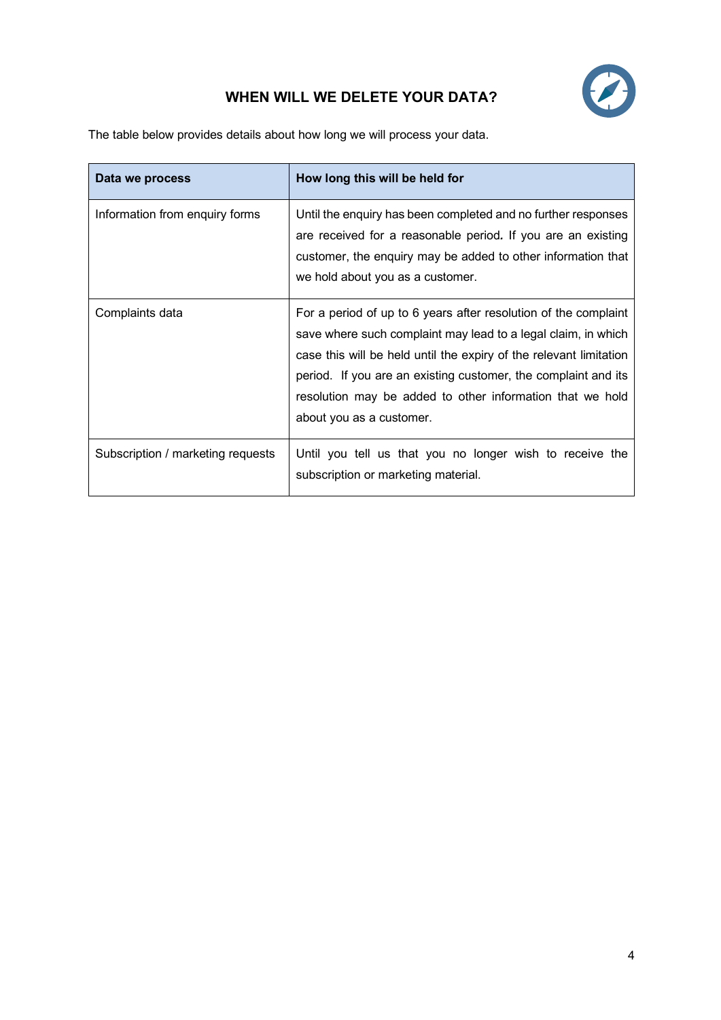# **WHEN WILL WE DELETE YOUR DATA?**

The table below provides details about how long we will process your data.

| Data we process                   | How long this will be held for                                                                                                                                                                                                                                                                                                                                    |
|-----------------------------------|-------------------------------------------------------------------------------------------------------------------------------------------------------------------------------------------------------------------------------------------------------------------------------------------------------------------------------------------------------------------|
| Information from enquiry forms    | Until the enquiry has been completed and no further responses<br>are received for a reasonable period. If you are an existing<br>customer, the enquiry may be added to other information that<br>we hold about you as a customer.                                                                                                                                 |
| Complaints data                   | For a period of up to 6 years after resolution of the complaint<br>save where such complaint may lead to a legal claim, in which<br>case this will be held until the expiry of the relevant limitation<br>period. If you are an existing customer, the complaint and its<br>resolution may be added to other information that we hold<br>about you as a customer. |
| Subscription / marketing requests | Until you tell us that you no longer wish to receive the<br>subscription or marketing material.                                                                                                                                                                                                                                                                   |